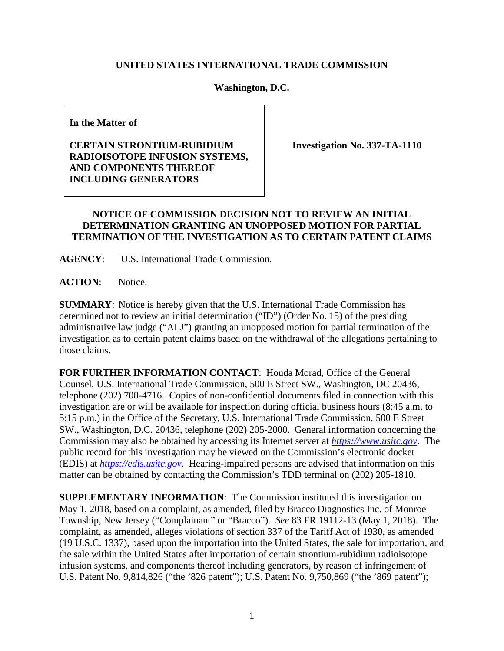## **UNITED STATES INTERNATIONAL TRADE COMMISSION**

## **Washington, D.C.**

**In the Matter of**

## **CERTAIN STRONTIUM-RUBIDIUM RADIOISOTOPE INFUSION SYSTEMS, AND COMPONENTS THEREOF INCLUDING GENERATORS**

**Investigation No. 337-TA-1110**

## **NOTICE OF COMMISSION DECISION NOT TO REVIEW AN INITIAL DETERMINATION GRANTING AN UNOPPOSED MOTION FOR PARTIAL TERMINATION OF THE INVESTIGATION AS TO CERTAIN PATENT CLAIMS**

**AGENCY**: U.S. International Trade Commission.

**ACTION**: Notice.

**SUMMARY**: Notice is hereby given that the U.S. International Trade Commission has determined not to review an initial determination ("ID") (Order No. 15) of the presiding administrative law judge ("ALJ") granting an unopposed motion for partial termination of the investigation as to certain patent claims based on the withdrawal of the allegations pertaining to those claims.

**FOR FURTHER INFORMATION CONTACT**: Houda Morad, Office of the General Counsel, U.S. International Trade Commission, 500 E Street SW., Washington, DC 20436, telephone (202) 708-4716. Copies of non-confidential documents filed in connection with this investigation are or will be available for inspection during official business hours (8:45 a.m. to 5:15 p.m.) in the Office of the Secretary, U.S. International Trade Commission, 500 E Street SW., Washington, D.C. 20436, telephone (202) 205-2000. General information concerning the Commission may also be obtained by accessing its Internet server at *[https://www.usitc.gov](https://www.usitc.gov/)*. The public record for this investigation may be viewed on the Commission's electronic docket (EDIS) at *[https://edis.usitc.gov](http://edis.usitc.gov/)*. Hearing-impaired persons are advised that information on this matter can be obtained by contacting the Commission's TDD terminal on (202) 205-1810.

**SUPPLEMENTARY INFORMATION**: The Commission instituted this investigation on May 1, 2018, based on a complaint, as amended, filed by Bracco Diagnostics Inc. of Monroe Township, New Jersey ("Complainant" or "Bracco"). *See* 83 FR 19112-13 (May 1, 2018). The complaint, as amended, alleges violations of section 337 of the Tariff Act of 1930, as amended (19 U.S.C. 1337), based upon the importation into the United States, the sale for importation, and the sale within the United States after importation of certain strontium-rubidium radioisotope infusion systems, and components thereof including generators, by reason of infringement of U.S. Patent No. 9,814,826 ("the '826 patent"); U.S. Patent No. 9,750,869 ("the '869 patent");